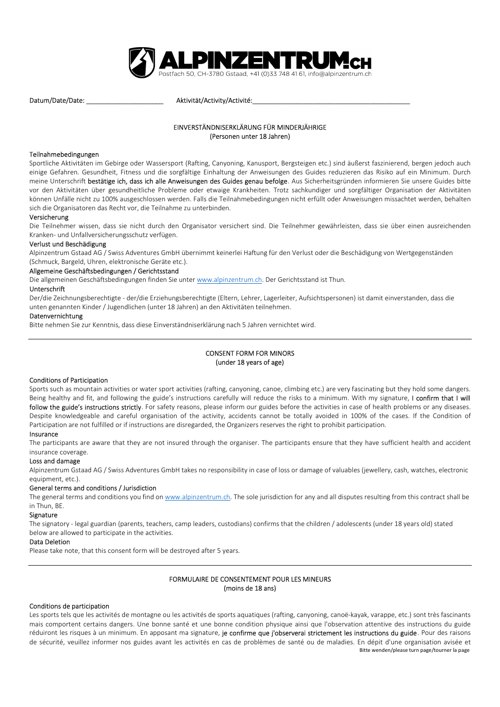

Datum/Date/Date: \_\_\_\_\_\_\_\_\_\_\_\_\_\_\_\_\_\_\_\_\_ Aktivität/Activity/Activité:\_\_\_\_\_\_\_\_\_\_\_\_\_\_\_\_\_\_\_\_\_\_\_\_\_\_\_\_\_\_\_\_\_\_\_\_\_\_\_\_\_\_\_

# EINVERSTÄNDNISERKLÄRUNG FÜR MINDERJÄHRIGE (Personen unter 18 Jahren)

#### Teilnahmebedingungen

Sportliche Aktivitäten im Gebirge oder Wassersport (Rafting, Canyoning, Kanusport, Bergsteigen etc.) sind äußerst faszinierend, bergen jedoch auch einige Gefahren. Gesundheit, Fitness und die sorgfältige Einhaltung der Anweisungen des Guides reduzieren das Risiko auf ein Minimum. Durch meine Unterschrift bestätige ich, dass ich alle Anweisungen des Guides genau befolge. Aus Sicherheitsgründen informieren Sie unsere Guides bitte vor den Aktivitäten über gesundheitliche Probleme oder etwaige Krankheiten. Trotz sachkundiger und sorgfältiger Organisation der Aktivitäten können Unfälle nicht zu 100% ausgeschlossen werden. Falls die Teilnahmebedingungen nicht erfüllt oder Anweisungen missachtet werden, behalten sich die Organisatoren das Recht vor, die Teilnahme zu unterbinden.

## Versicherung

Die Teilnehmer wissen, dass sie nicht durch den Organisator versichert sind. Die Teilnehmer gewährleisten, dass sie über einen ausreichenden Kranken- und Unfallversicherungsschutz verfügen.

#### Verlust und Beschädigung

Alpinzentrum Gstaad AG / Swiss Adventures GmbH übernimmt keinerlei Haftung für den Verlust oder die Beschädigung von Wertgegenständen (Schmuck, Bargeld, Uhren, elektronische Geräte etc.).

## Allgemeine Geschäftsbedingungen / Gerichtsstand

Die allgemeinen Geschäftsbedingungen finden Sie unter www.alpinzentrum.ch. Der Gerichtsstand ist Thun.

#### Unterschrift

Der/die Zeichnungsberechtigte - der/die Erziehungsberechtigte (Eltern, Lehrer, Lagerleiter, Aufsichtspersonen) ist damit einverstanden, dass die unten genannten Kinder / Jugendlichen (unter 18 Jahren) an den Aktivitäten teilnehmen.

#### Datenvernichtung

Bitte nehmen Sie zur Kenntnis, dass diese Einverständniserklärung nach 5 Jahren vernichtet wird.

# CONSENT FORM FOR MINORS (under 18 years of age)

#### Conditions of Participation

Sports such as mountain activities or water sport activities (rafting, canyoning, canoe, climbing etc.) are very fascinating but they hold some dangers. Being healthy and fit, and following the guide's instructions carefully will reduce the risks to a minimum. With my signature, I confirm that I will follow the guide's instructions strictly. For safety reasons, please inform our guides before the activities in case of health problems or any diseases. Despite knowledgeable and careful organisation of the activity, accidents cannot be totally avoided in 100% of the cases. If the Condition of Participation are not fulfilled or if instructions are disregarded, the Organizers reserves the right to prohibit participation.

#### Insurance

The participants are aware that they are not insured through the organiser. The participants ensure that they have sufficient health and accident insurance coverage.

#### Loss and damage

Alpinzentrum Gstaad AG / Swiss Adventures GmbH takes no responsibility in case of loss or damage of valuables (jewellery, cash, watches, electronic equipment, etc.).

#### General terms and conditions / Jurisdiction

The general terms and conditions you find on www.alpinzentrum.ch. The sole jurisdiction for any and all disputes resulting from this contract shall be in Thun, BE.

#### Signature

The signatory - legal guardian (parents, teachers, camp leaders, custodians) confirms that the children / adolescents (under 18 years old) stated below are allowed to participate in the activities.

## Data Deletion

Please take note, that this consent form will be destroyed after 5 years.

# FORMULAIRE DE CONSENTEMENT POUR LES MINEURS (moins de 18 ans)

#### Conditions de participation

Bitte wenden/please turn page/tourner la page Les sports tels que les activités de montagne ou les activités de sports aquatiques (rafting, canyoning, canoë-kayak, varappe, etc.) sont très fascinants mais comportent certains dangers. Une bonne santé et une bonne condition physique ainsi que l'observation attentive des instructions du guide réduiront les risques à un minimum. En apposant ma signature, je confirme que j'observerai strictement les instructions du guide. Pour des raisons de sécurité, veuillez informer nos guides avant les activités en cas de problèmes de santé ou de maladies. En dépit d'une organisation avisée et